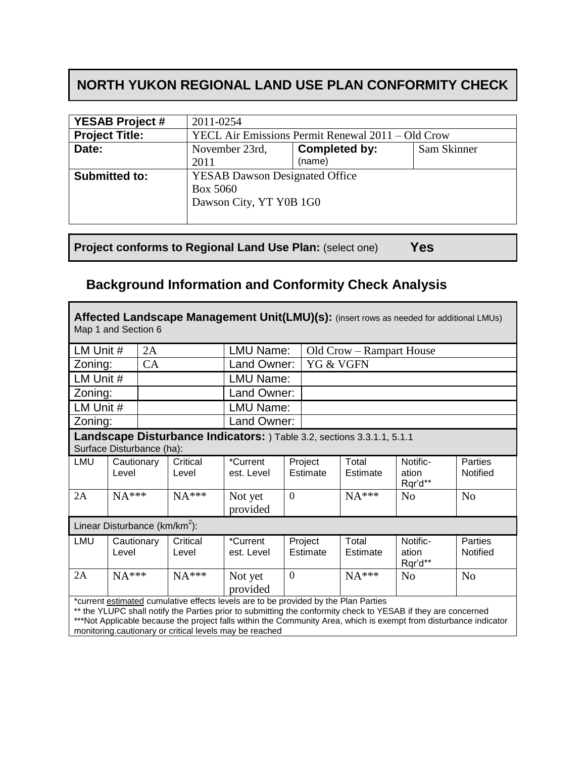## **NORTH YUKON REGIONAL LAND USE PLAN CONFORMITY CHECK**

| <b>YESAB Project #</b> | 2011-0254                                         |               |             |  |
|------------------------|---------------------------------------------------|---------------|-------------|--|
| <b>Project Title:</b>  | YECL Air Emissions Permit Renewal 2011 – Old Crow |               |             |  |
| Date:                  | November 23rd,                                    | Completed by: | Sam Skinner |  |
|                        | 2011                                              | (name)        |             |  |
| <b>Submitted to:</b>   | <b>YESAB Dawson Designated Office</b>             |               |             |  |
|                        | <b>Box 5060</b>                                   |               |             |  |
|                        | Dawson City, YT Y0B 1G0                           |               |             |  |
|                        |                                                   |               |             |  |

**Project conforms to Regional Land Use Plan:** (select one) **Yes**

Г

## **Background Information and Conformity Check Analysis**

| Affected Landscape Management Unit(LMU)(s): (insert rows as needed for additional LMUs)<br>Map 1 and Section 6                                                                                                                                                                                                                                                                       |                     |                  |                   |                          |                |                     |                   |                              |                     |
|--------------------------------------------------------------------------------------------------------------------------------------------------------------------------------------------------------------------------------------------------------------------------------------------------------------------------------------------------------------------------------------|---------------------|------------------|-------------------|--------------------------|----------------|---------------------|-------------------|------------------------------|---------------------|
| LM Unit #<br>2A                                                                                                                                                                                                                                                                                                                                                                      |                     | <b>LMU Name:</b> |                   | Old Crow – Rampart House |                |                     |                   |                              |                     |
|                                                                                                                                                                                                                                                                                                                                                                                      | CA<br>Zoning:       |                  | Land Owner:       |                          | YG & VGFN      |                     |                   |                              |                     |
|                                                                                                                                                                                                                                                                                                                                                                                      | LM Unit #           |                  | LMU Name:         |                          |                |                     |                   |                              |                     |
|                                                                                                                                                                                                                                                                                                                                                                                      | Zoning:             |                  | Land Owner:       |                          |                |                     |                   |                              |                     |
| LM Unit #                                                                                                                                                                                                                                                                                                                                                                            |                     |                  |                   | <b>LMU Name:</b>         |                |                     |                   |                              |                     |
|                                                                                                                                                                                                                                                                                                                                                                                      | Zoning:             |                  | Land Owner:       |                          |                |                     |                   |                              |                     |
| Landscape Disturbance Indicators: ) Table 3.2, sections 3.3.1.1, 5.1.1<br>Surface Disturbance (ha):                                                                                                                                                                                                                                                                                  |                     |                  |                   |                          |                |                     |                   |                              |                     |
| LMU                                                                                                                                                                                                                                                                                                                                                                                  | Cautionary<br>Level |                  | Critical<br>Level | *Current<br>est. Level   |                | Project<br>Estimate | Total<br>Estimate | Notific-<br>ation<br>Rqr'd** | Parties<br>Notified |
| 2A                                                                                                                                                                                                                                                                                                                                                                                   | $NA***$             |                  | $NA***$           | Not yet<br>provided      | $\overline{0}$ |                     | $NA***$           | N <sub>o</sub>               | N <sub>o</sub>      |
| Linear Disturbance ( $km/km2$ ):                                                                                                                                                                                                                                                                                                                                                     |                     |                  |                   |                          |                |                     |                   |                              |                     |
| LMU                                                                                                                                                                                                                                                                                                                                                                                  | Cautionary<br>Level |                  | Critical<br>Level | *Current<br>est. Level   |                | Project<br>Estimate | Total<br>Estimate | Notific-<br>ation<br>Rqr'd** | Parties<br>Notified |
| 2A                                                                                                                                                                                                                                                                                                                                                                                   | $NA***$             |                  | $NA***$           | Not yet                  | $\overline{0}$ |                     | $NA***$           | N <sub>o</sub>               | N <sub>o</sub>      |
|                                                                                                                                                                                                                                                                                                                                                                                      |                     |                  |                   | provided                 |                |                     |                   |                              |                     |
| *current estimated cumulative effects levels are to be provided by the Plan Parties<br>** the YLUPC shall notify the Parties prior to submitting the conformity check to YESAB if they are concerned<br>***Not Applicable because the project falls within the Community Area, which is exempt from disturbance indicator<br>monitoring cautionary or critical levels may be reached |                     |                  |                   |                          |                |                     |                   |                              |                     |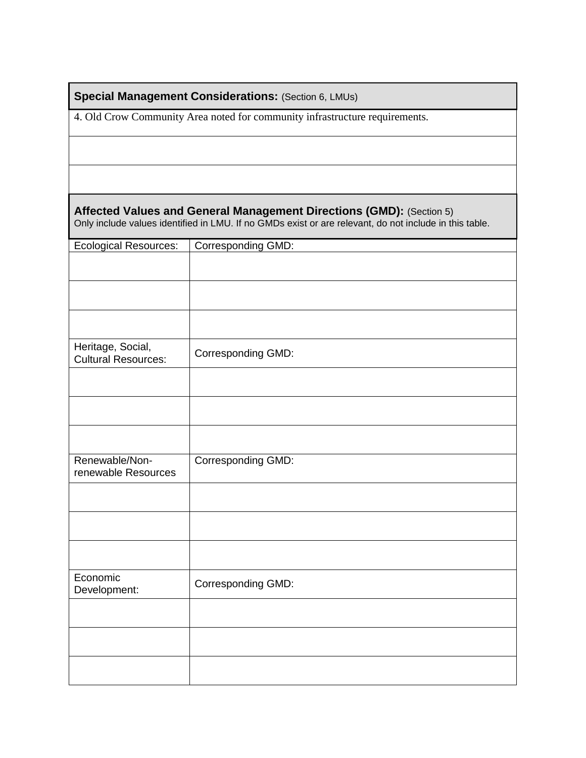**Special Management Considerations: (Section 6, LMUs)** 

4. Old Crow Community Area noted for community infrastructure requirements.

**Affected Values and General Management Directions (GMD):** (Section 5) Only include values identified in LMU. If no GMDs exist or are relevant, do not include in this table.

| <b>Ecological Resources:</b>                    | Corresponding GMD: |
|-------------------------------------------------|--------------------|
|                                                 |                    |
|                                                 |                    |
|                                                 |                    |
|                                                 |                    |
|                                                 |                    |
| Heritage, Social,<br><b>Cultural Resources:</b> | Corresponding GMD: |
|                                                 |                    |
|                                                 |                    |
|                                                 |                    |
| Renewable/Non-<br>renewable Resources           | Corresponding GMD: |
|                                                 |                    |
|                                                 |                    |
|                                                 |                    |
| Economic<br>Development:                        | Corresponding GMD: |
|                                                 |                    |
|                                                 |                    |
|                                                 |                    |